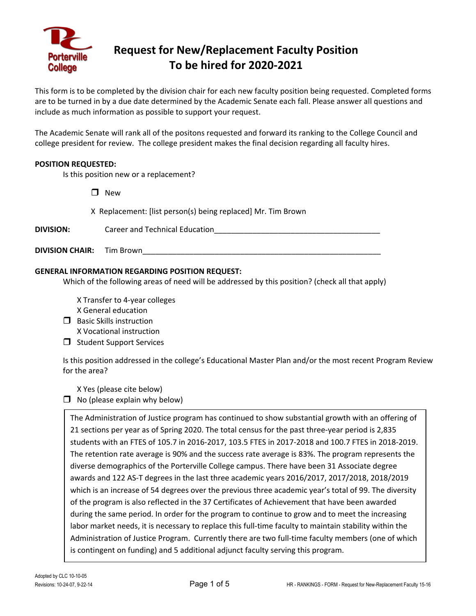

# **Request for New/Replacement Faculty Position To be hired for 2020-2021**

This form is to be completed by the division chair for each new faculty position being requested. Completed forms are to be turned in by a due date determined by the Academic Senate each fall. Please answer all questions and include as much information as possible to support your request.

The Academic Senate will rank all of the positons requested and forward its ranking to the College Council and college president for review. The college president makes the final decision regarding all faculty hires.

#### **POSITION REQUESTED:**

Is this position new or a replacement?

 $\square$  New

X Replacement: [list person(s) being replaced] Mr. Tim Brown

| <b>DIVISION:</b> | Career and Technical Education |
|------------------|--------------------------------|
|                  |                                |

**DIVISION CHAIR:** Tim Brown

#### **GENERAL INFORMATION REGARDING POSITION REQUEST:**

Which of the following areas of need will be addressed by this position? (check all that apply)

X Transfer to 4-year colleges X General education

- $\Box$  Basic Skills instruction X Vocational instruction
- $\Box$  Student Support Services

Is this position addressed in the college's Educational Master Plan and/or the most recent Program Review for the area?

X Yes (please cite below)

 $\Box$  No (please explain why below)

The Administration of Justice program has continued to show substantial growth with an offering of 21 sections per year as of Spring 2020. The total census for the past three-year period is 2,835 students with an FTES of 105.7 in 2016-2017, 103.5 FTES in 2017-2018 and 100.7 FTES in 2018-2019. The retention rate average is 90% and the success rate average is 83%. The program represents the diverse demographics of the Porterville College campus. There have been 31 Associate degree awards and 122 AS-T degrees in the last three academic years 2016/2017, 2017/2018, 2018/2019 which is an increase of 54 degrees over the previous three academic year's total of 99. The diversity of the program is also reflected in the 37 Certificates of Achievement that have been awarded during the same period. In order for the program to continue to grow and to meet the increasing labor market needs, it is necessary to replace this full-time faculty to maintain stability within the Administration of Justice Program. Currently there are two full-time faculty members (one of which is contingent on funding) and 5 additional adjunct faculty serving this program.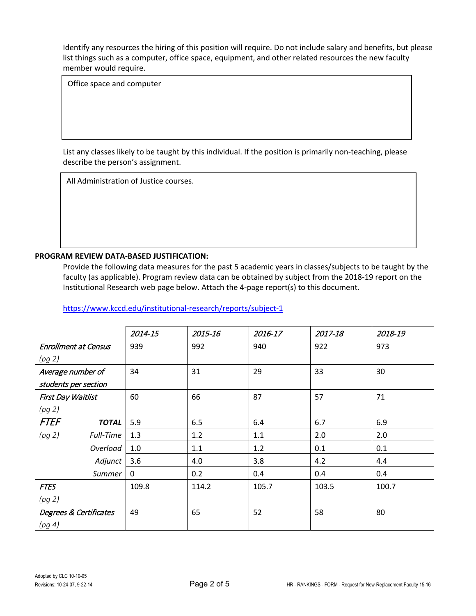Office space and computer

List any classes likely to be taught by this individual. If the position is primarily non-teaching, please describe the person's assignment.

All Administration of Justice courses.

### **PROGRAM REVIEW DATA-BASED JUSTIFICATION:**

Provide the following data measures for the past 5 academic years in classes/subjects to be taught by the faculty (as applicable). Program review data can be obtained by subject from the 2018-19 report on the Institutional Research web page below. Attach the 4-page report(s) to this document.

|                             |              | 2014-15      | 2015-16 | 2016-17 | 2017-18 | 2018-19 |
|-----------------------------|--------------|--------------|---------|---------|---------|---------|
| <b>Enrollment at Census</b> |              | 939          | 992     | 940     | 922     | 973     |
| (pg 2)                      |              |              |         |         |         |         |
| Average number of           |              | 34           | 31      | 29      | 33      | 30      |
| students per section        |              |              |         |         |         |         |
| First Day Waitlist          |              | 60           | 66      | 87      | 57      | 71      |
| (pg 2)                      |              |              |         |         |         |         |
| <b>FTEF</b>                 | <b>TOTAL</b> | 5.9          | 6.5     | 6.4     | 6.7     | 6.9     |
| (pg 2)                      | Full-Time    | 1.3          | 1.2     | 1.1     | 2.0     | 2.0     |
|                             | Overload     | 1.0          | 1.1     | 1.2     | 0.1     | 0.1     |
|                             | Adjunct      | 3.6          | 4.0     | 3.8     | 4.2     | 4.4     |
|                             | Summer       | $\mathbf{0}$ | 0.2     | 0.4     | 0.4     | 0.4     |
| <b>FTES</b>                 |              | 109.8        | 114.2   | 105.7   | 103.5   | 100.7   |
| (pg 2)                      |              |              |         |         |         |         |
| Degrees & Certificates      |              | 49           | 65      | 52      | 58      | 80      |
| (pg 4)                      |              |              |         |         |         |         |

<https://www.kccd.edu/institutional-research/reports/subject-1>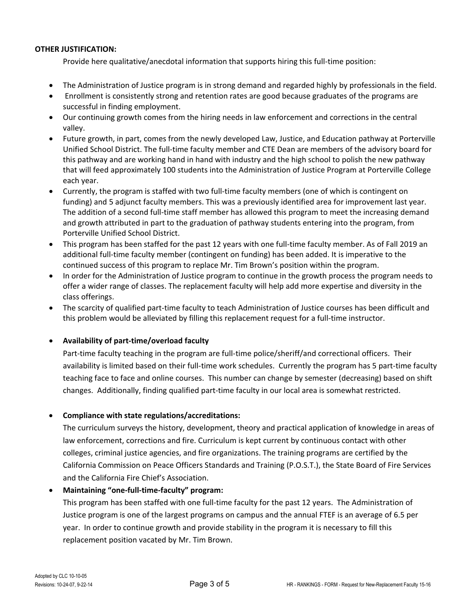Provide here qualitative/anecdotal information that supports hiring this full-time position:

- The Administration of Justice program is in strong demand and regarded highly by professionals in the field.
- Enrollment is consistently strong and retention rates are good because graduates of the programs are successful in finding employment.
- Our continuing growth comes from the hiring needs in law enforcement and corrections in the central valley.
- Future growth, in part, comes from the newly developed Law, Justice, and Education pathway at Porterville Unified School District. The full-time faculty member and CTE Dean are members of the advisory board for this pathway and are working hand in hand with industry and the high school to polish the new pathway that will feed approximately 100 students into the Administration of Justice Program at Porterville College each year.
- Currently, the program is staffed with two full-time faculty members (one of which is contingent on funding) and 5 adjunct faculty members. This was a previously identified area for improvement last year. The addition of a second full-time staff member has allowed this program to meet the increasing demand and growth attributed in part to the graduation of pathway students entering into the program, from Porterville Unified School District.
- This program has been staffed for the past 12 years with one full-time faculty member. As of Fall 2019 an additional full-time faculty member (contingent on funding) has been added. It is imperative to the continued success of this program to replace Mr. Tim Brown's position within the program.
- In order for the Administration of Justice program to continue in the growth process the program needs to offer a wider range of classes. The replacement faculty will help add more expertise and diversity in the class offerings.
- The scarcity of qualified part-time faculty to teach Administration of Justice courses has been difficult and this problem would be alleviated by filling this replacement request for a full-time instructor.

# • **Availability of part-time/overload faculty**

Part-time faculty teaching in the program are full-time police/sheriff/and correctional officers. Their availability is limited based on their full-time work schedules. Currently the program has 5 part-time faculty teaching face to face and online courses. This number can change by semester (decreasing) based on shift changes. Additionally, finding qualified part-time faculty in our local area is somewhat restricted.

# • **Compliance with state regulations/accreditations:**

The curriculum surveys the history, development, theory and practical application of knowledge in areas of law enforcement, corrections and fire. Curriculum is kept current by continuous contact with other colleges, criminal justice agencies, and fire organizations. The training programs are certified by the California Commission on Peace Officers Standards and Training (P.O.S.T.), the State Board of Fire Services and the California Fire Chief's Association.

# • **Maintaining "one-full-time-faculty" program:**

This program has been staffed with one full-time faculty for the past 12 years. The Administration of Justice program is one of the largest programs on campus and the annual FTEF is an average of 6.5 per year. In order to continue growth and provide stability in the program it is necessary to fill this replacement position vacated by Mr. Tim Brown.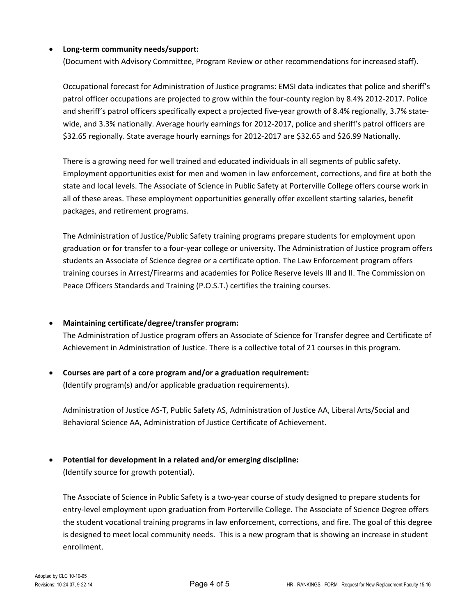### • **Long-term community needs/support:**

(Document with Advisory Committee, Program Review or other recommendations for increased staff).

Occupational forecast for Administration of Justice programs: EMSI data indicates that police and sheriff's patrol officer occupations are projected to grow within the four-county region by 8.4% 2012-2017. Police and sheriff's patrol officers specifically expect a projected five-year growth of 8.4% regionally, 3.7% statewide, and 3.3% nationally. Average hourly earnings for 2012-2017, police and sheriff's patrol officers are \$32.65 regionally. State average hourly earnings for 2012-2017 are \$32.65 and \$26.99 Nationally.

There is a growing need for well trained and educated individuals in all segments of public safety. Employment opportunities exist for men and women in law enforcement, corrections, and fire at both the state and local levels. The Associate of Science in Public Safety at Porterville College offers course work in all of these areas. These employment opportunities generally offer excellent starting salaries, benefit packages, and retirement programs.

The Administration of Justice/Public Safety training programs prepare students for employment upon graduation or for transfer to a four-year college or university. The Administration of Justice program offers students an Associate of Science degree or a certificate option. The Law Enforcement program offers training courses in Arrest/Firearms and academies for Police Reserve levels III and II. The Commission on Peace Officers Standards and Training (P.O.S.T.) certifies the training courses.

#### • **Maintaining certificate/degree/transfer program:**

The Administration of Justice program offers an Associate of Science for Transfer degree and Certificate of Achievement in Administration of Justice. There is a collective total of 21 courses in this program.

• **Courses are part of a core program and/or a graduation requirement:** (Identify program(s) and/or applicable graduation requirements).

Administration of Justice AS-T, Public Safety AS, Administration of Justice AA, Liberal Arts/Social and Behavioral Science AA, Administration of Justice Certificate of Achievement.

# • **Potential for development in a related and/or emerging discipline:**

(Identify source for growth potential).

The Associate of Science in Public Safety is a two-year course of study designed to prepare students for entry-level employment upon graduation from Porterville College. The Associate of Science Degree offers the student vocational training programs in law enforcement, corrections, and fire. The goal of this degree is designed to meet local community needs. This is a new program that is showing an increase in student enrollment.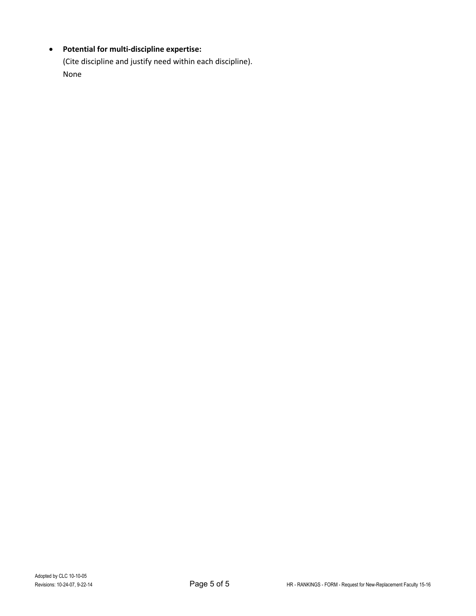# • **Potential for multi-discipline expertise:**

(Cite discipline and justify need within each discipline). None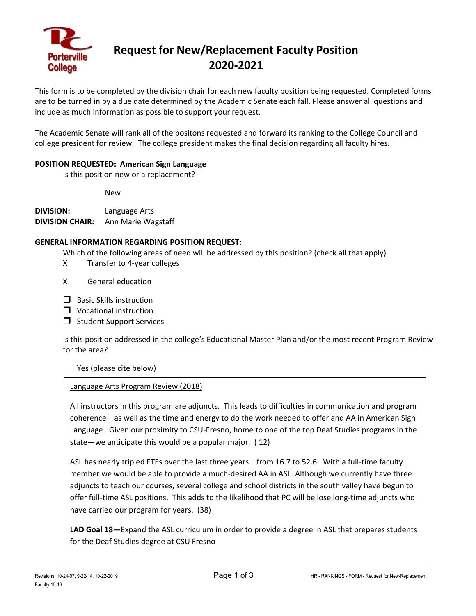

# **Request for New/Replacement Faculty Position 2020-2021**

This form is to be completed by the division chair for each new faculty position being requested. Completed forms are to be turned in by a due date determined by the Academic Senate each fall. Please answer all questions and include as much information as possible to support your request.

The Academic Senate will rank all of the positons requested and forward its ranking to the College Council and college president for review. The college president makes the final decision regarding all faculty hires.

#### **POSITION REQUESTED: American Sign Language**

Is this position new or a replacement?

New

**DIVISION:** Language Arts **DIVISION CHAIR:** Ann Marie Wagstaff

### **GENERAL INFORMATION REGARDING POSITION REQUEST:**

Which of the following areas of need will be addressed by this position? (check all that apply)

- X Transfer to 4-year colleges
- X General education
- $\Box$  Basic Skills instruction
- $\Box$  Vocational instruction
- $\Box$  Student Support Services

Is this position addressed in the college's Educational Master Plan and/or the most recent Program Review for the area?

Yes (please cite below)

#### Language Arts Program Review (2018)

All instructors in this program are adjuncts. This leads to difficulties in communication and program coherence—as well as the time and energy to do the work needed to offer and AA in American Sign Language. Given our proximity to CSU-Fresno, home to one of the top Deaf Studies programs in the state—we anticipate this would be a popular major. ( 12)

ASL has nearly tripled FTEs over the last three years—from 16.7 to 52.6. With a full-time faculty member we would be able to provide a much-desired AA in ASL. Although we currently have three adjuncts to teach our courses, several college and school districts in the south valley have begun to offer full-time ASL positions. This adds to the likelihood that PC will be lose long-time adjuncts who have carried our program for years. (38)

**LAD Goal 18—**Expand the ASL curriculum in order to provide a degree in ASL that prepares students for the Deaf Studies degree at CSU Fresno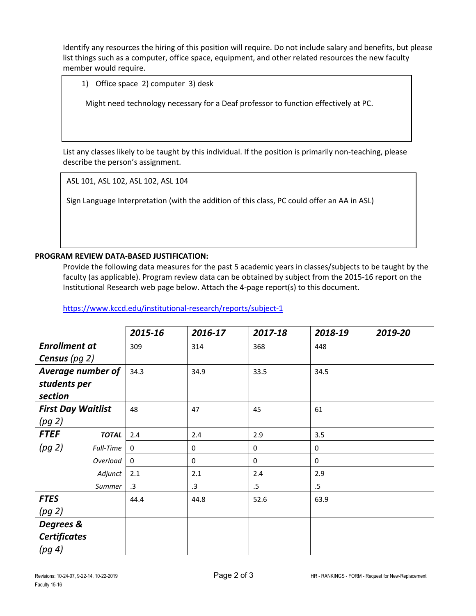1) Office space 2) computer 3) desk

Might need technology necessary for a Deaf professor to function effectively at PC.

List any classes likely to be taught by this individual. If the position is primarily non-teaching, please describe the person's assignment.

ASL 101, ASL 102, ASL 102, ASL 104

Sign Language Interpretation (with the addition of this class, PC could offer an AA in ASL)

# **PROGRAM REVIEW DATA-BASED JUSTIFICATION:**

Provide the following data measures for the past 5 academic years in classes/subjects to be taught by the faculty (as applicable). Program review data can be obtained by subject from the 2015-16 report on the Institutional Research web page below. Attach the 4-page report(s) to this document.

|                           |              | 2015-16 | 2016-17   | 2017-18 | 2018-19 | 2019-20 |
|---------------------------|--------------|---------|-----------|---------|---------|---------|
| <b>Enrollment at</b>      |              | 309     | 314       | 368     | 448     |         |
| <b>Census</b> (pg $2$ )   |              |         |           |         |         |         |
| Average number of         |              | 34.3    | 34.9      | 33.5    | 34.5    |         |
| students per              |              |         |           |         |         |         |
| section                   |              |         |           |         |         |         |
| <b>First Day Waitlist</b> |              | 48      | 47        | 45      | 61      |         |
| (pg 2)                    |              |         |           |         |         |         |
| <b>FTEF</b>               | <b>TOTAL</b> | 2.4     | 2.4       | 2.9     | 3.5     |         |
| (pg 2)                    | Full-Time    | 0       | 0         | 0       | 0       |         |
|                           | Overload     | 0       | 0         | 0       | 0       |         |
|                           | Adjunct      | 2.1     | 2.1       | 2.4     | 2.9     |         |
|                           | Summer       | .3      | $\cdot$ 3 | $.5\,$  | $.5\,$  |         |
| <b>FTES</b>               |              | 44.4    | 44.8      | 52.6    | 63.9    |         |
| (pg 2)                    |              |         |           |         |         |         |
| Degrees &                 |              |         |           |         |         |         |
| <b>Certificates</b>       |              |         |           |         |         |         |
| (pg 4)                    |              |         |           |         |         |         |

<https://www.kccd.edu/institutional-research/reports/subject-1>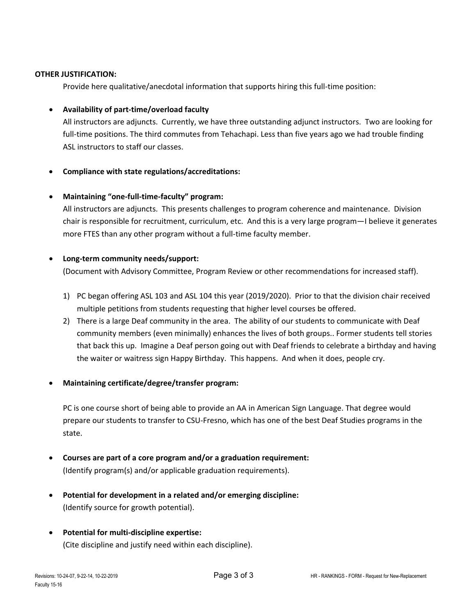Provide here qualitative/anecdotal information that supports hiring this full-time position:

#### • **Availability of part-time/overload faculty**

All instructors are adjuncts. Currently, we have three outstanding adjunct instructors. Two are looking for full-time positions. The third commutes from Tehachapi. Less than five years ago we had trouble finding ASL instructors to staff our classes.

### • **Compliance with state regulations/accreditations:**

#### • **Maintaining "one-full-time-faculty" program:**

All instructors are adjuncts. This presents challenges to program coherence and maintenance. Division chair is responsible for recruitment, curriculum, etc. And this is a very large program—I believe it generates more FTES than any other program without a full-time faculty member.

### • **Long-term community needs/support:**

(Document with Advisory Committee, Program Review or other recommendations for increased staff).

- 1) PC began offering ASL 103 and ASL 104 this year (2019/2020). Prior to that the division chair received multiple petitions from students requesting that higher level courses be offered.
- 2) There is a large Deaf community in the area. The ability of our students to communicate with Deaf community members (even minimally) enhances the lives of both groups.. Former students tell stories that back this up. Imagine a Deaf person going out with Deaf friends to celebrate a birthday and having the waiter or waitress sign Happy Birthday. This happens. And when it does, people cry.

#### • **Maintaining certificate/degree/transfer program:**

PC is one course short of being able to provide an AA in American Sign Language. That degree would prepare our students to transfer to CSU-Fresno, which has one of the best Deaf Studies programs in the state.

- **Courses are part of a core program and/or a graduation requirement:** (Identify program(s) and/or applicable graduation requirements).
- **Potential for development in a related and/or emerging discipline:** (Identify source for growth potential).
- **Potential for multi-discipline expertise:**  (Cite discipline and justify need within each discipline).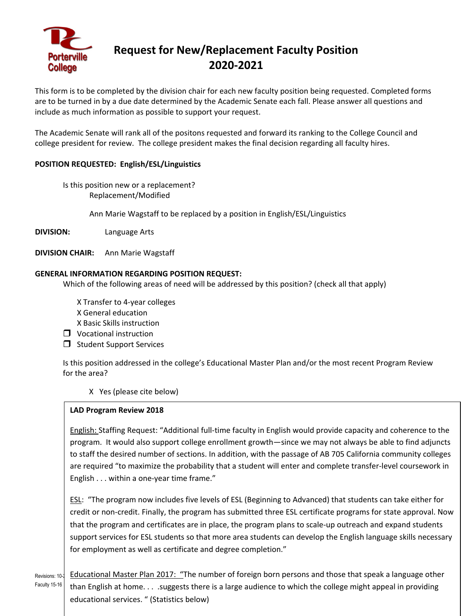

# **Request for New/Replacement Faculty Position 2020-2021**

This form is to be completed by the division chair for each new faculty position being requested. Completed forms are to be turned in by a due date determined by the Academic Senate each fall. Please answer all questions and include as much information as possible to support your request.

The Academic Senate will rank all of the positons requested and forward its ranking to the College Council and college president for review. The college president makes the final decision regarding all faculty hires.

# **POSITION REQUESTED: English/ESL/Linguistics**

Is this position new or a replacement? Replacement/Modified

Ann Marie Wagstaff to be replaced by a position in English/ESL/Linguistics

**DIVISION:** Language Arts

**DIVISION CHAIR:** Ann Marie Wagstaff

### **GENERAL INFORMATION REGARDING POSITION REQUEST:**

Which of the following areas of need will be addressed by this position? (check all that apply)

X Transfer to 4-year colleges X General education X Basic Skills instruction

- **U** Vocational instruction
- $\Box$  Student Support Services

Is this position addressed in the college's Educational Master Plan and/or the most recent Program Review for the area?

# X Yes (please cite below)

# **LAD Program Review 2018**

English: Staffing Request: "Additional full-time faculty in English would provide capacity and coherence to the program. It would also support college enrollment growth—since we may not always be able to find adjuncts to staff the desired number of sections. In addition, with the passage of AB 705 California community colleges are required "to maximize the probability that a student will enter and complete transfer-level coursework in English . . . within a one-year time frame."

ESL: "The program now includes five levels of ESL (Beginning to Advanced) that students can take either for credit or non-credit. Finally, the program has submitted three ESL certificate programs for state approval. Now that the program and certificates are in place, the program plans to scale-up outreach and expand students support services for ESL students so that more area students can develop the English language skills necessary for employment as well as certificate and degree completion."

Revisions: 10-2 Educational Master Plan 2017: "The number of foreign born persons and those that speak a language other Faculty 15-16 than English at home. . . .suggests there is a large audience to which the college might appeal in providing educational services. " (Statistics below)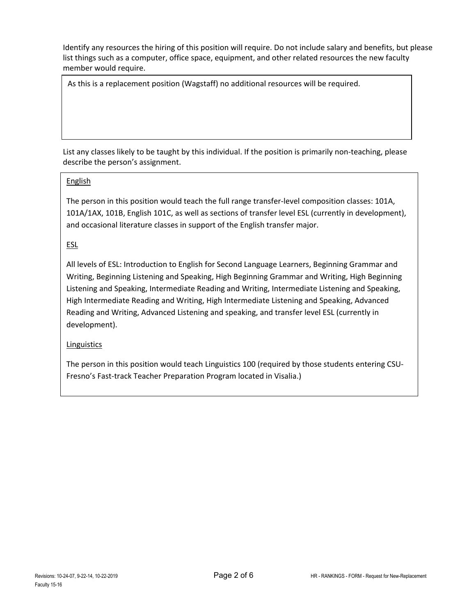As this is a replacement position (Wagstaff) no additional resources will be required.

List any classes likely to be taught by this individual. If the position is primarily non-teaching, please describe the person's assignment.

### English

The person in this position would teach the full range transfer-level composition classes: 101A, 101A/1AX, 101B, English 101C, as well as sections of transfer level ESL (currently in development), and occasional literature classes in support of the English transfer major.

# ESL

All levels of ESL: Introduction to English for Second Language Learners, Beginning Grammar and Writing, Beginning Listening and Speaking, High Beginning Grammar and Writing, High Beginning Listening and Speaking, Intermediate Reading and Writing, Intermediate Listening and Speaking, High Intermediate Reading and Writing, High Intermediate Listening and Speaking, Advanced Reading and Writing, Advanced Listening and speaking, and transfer level ESL (currently in development).

# Linguistics

The person in this position would teach Linguistics 100 (required by those students entering CSU-Fresno's Fast-track Teacher Preparation Program located in Visalia.)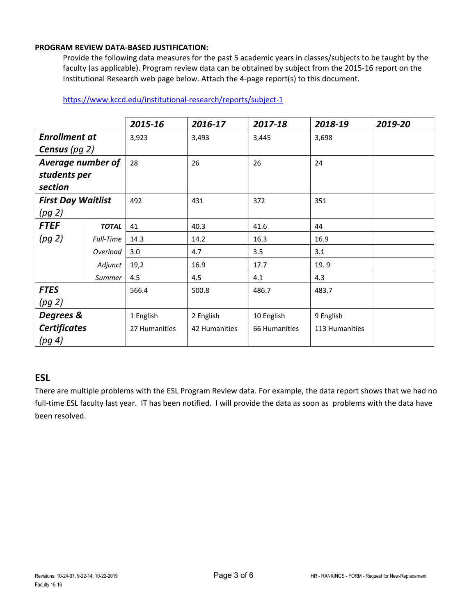### **PROGRAM REVIEW DATA-BASED JUSTIFICATION:**

Provide the following data measures for the past 5 academic years in classes/subjects to be taught by the faculty (as applicable). Program review data can be obtained by subject from the 2015-16 report on the Institutional Research web page below. Attach the 4-page report(s) to this document.

|                           |              | 2015-16       | 2016-17       | 2017-18       | 2018-19        | 2019-20 |
|---------------------------|--------------|---------------|---------------|---------------|----------------|---------|
| <b>Enrollment at</b>      |              | 3,923         | 3,493         | 3,445         | 3,698          |         |
| <b>Census</b> (pg $2$ )   |              |               |               |               |                |         |
| <b>Average number of</b>  |              | 28            | 26            | 26            | 24             |         |
| students per              |              |               |               |               |                |         |
| section                   |              |               |               |               |                |         |
| <b>First Day Waitlist</b> |              | 492           | 431           | 372           | 351            |         |
| (pg 2)                    |              |               |               |               |                |         |
| <b>FTEF</b>               | <b>TOTAL</b> | 41            | 40.3          | 41.6          | 44             |         |
| (pg 2)                    | Full-Time    | 14.3          | 14.2          | 16.3          | 16.9           |         |
|                           | Overload     | 3.0           | 4.7           | 3.5           | 3.1            |         |
|                           | Adjunct      | 19,2          | 16.9          | 17.7          | 19.9           |         |
|                           | Summer       | 4.5           | 4.5           | 4.1           | 4.3            |         |
| <b>FTES</b>               |              | 566.4         | 500.8         | 486.7         | 483.7          |         |
| (pg 2)                    |              |               |               |               |                |         |
| Degrees &                 |              | 1 English     | 2 English     | 10 English    | 9 English      |         |
| <b>Certificates</b>       |              | 27 Humanities | 42 Humanities | 66 Humanities | 113 Humanities |         |
| (pg 4)                    |              |               |               |               |                |         |

## <https://www.kccd.edu/institutional-research/reports/subject-1>

# **ESL**

There are multiple problems with the ESL Program Review data. For example, the data report shows that we had no full-time ESL faculty last year. IT has been notified. I will provide the data as soon as problems with the data have been resolved.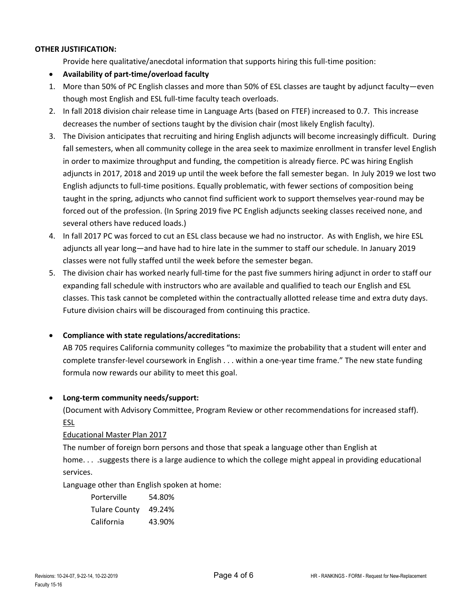Provide here qualitative/anecdotal information that supports hiring this full-time position:

- **Availability of part-time/overload faculty**
- 1. More than 50% of PC English classes and more than 50% of ESL classes are taught by adjunct faculty—even though most English and ESL full-time faculty teach overloads.
- 2. In fall 2018 division chair release time in Language Arts (based on FTEF) increased to 0.7. This increase decreases the number of sections taught by the division chair (most likely English faculty).
- 3. The Division anticipates that recruiting and hiring English adjuncts will become increasingly difficult. During fall semesters, when all community college in the area seek to maximize enrollment in transfer level English in order to maximize throughput and funding, the competition is already fierce. PC was hiring English adjuncts in 2017, 2018 and 2019 up until the week before the fall semester began. In July 2019 we lost two English adjuncts to full-time positions. Equally problematic, with fewer sections of composition being taught in the spring, adjuncts who cannot find sufficient work to support themselves year-round may be forced out of the profession. (In Spring 2019 five PC English adjuncts seeking classes received none, and several others have reduced loads.)
- 4. In fall 2017 PC was forced to cut an ESL class because we had no instructor. As with English, we hire ESL adjuncts all year long—and have had to hire late in the summer to staff our schedule. In January 2019 classes were not fully staffed until the week before the semester began.
- 5. The division chair has worked nearly full-time for the past five summers hiring adjunct in order to staff our expanding fall schedule with instructors who are available and qualified to teach our English and ESL classes. This task cannot be completed within the contractually allotted release time and extra duty days. Future division chairs will be discouraged from continuing this practice.

#### • **Compliance with state regulations/accreditations:**

AB 705 requires California community colleges "to maximize the probability that a student will enter and complete transfer-level coursework in English . . . within a one-year time frame." The new state funding formula now rewards our ability to meet this goal.

#### • **Long-term community needs/support:**

(Document with Advisory Committee, Program Review or other recommendations for increased staff). ESL

#### Educational Master Plan 2017

The number of foreign born persons and those that speak a language other than English at home. . . .suggests there is a large audience to which the college might appeal in providing educational services.

Language other than English spoken at home:

| Porterville          | 54.80% |
|----------------------|--------|
| <b>Tulare County</b> | 49.24% |
| California           | 43.90% |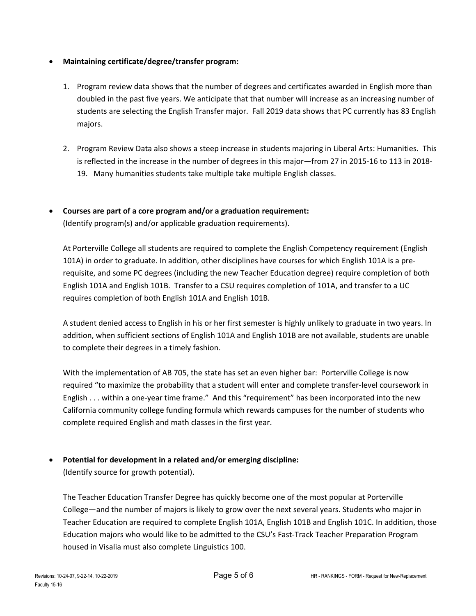# • **Maintaining certificate/degree/transfer program:**

- 1. Program review data shows that the number of degrees and certificates awarded in English more than doubled in the past five years. We anticipate that that number will increase as an increasing number of students are selecting the English Transfer major. Fall 2019 data shows that PC currently has 83 English majors.
- 2. Program Review Data also shows a steep increase in students majoring in Liberal Arts: Humanities. This is reflected in the increase in the number of degrees in this major—from 27 in 2015-16 to 113 in 2018- 19. Many humanities students take multiple take multiple English classes.
- **Courses are part of a core program and/or a graduation requirement:** (Identify program(s) and/or applicable graduation requirements).

At Porterville College all students are required to complete the English Competency requirement (English 101A) in order to graduate. In addition, other disciplines have courses for which English 101A is a prerequisite, and some PC degrees (including the new Teacher Education degree) require completion of both English 101A and English 101B. Transfer to a CSU requires completion of 101A, and transfer to a UC requires completion of both English 101A and English 101B.

A student denied access to English in his or her first semester is highly unlikely to graduate in two years. In addition, when sufficient sections of English 101A and English 101B are not available, students are unable to complete their degrees in a timely fashion.

With the implementation of AB 705, the state has set an even higher bar: Porterville College is now required "to maximize the probability that a student will enter and complete transfer-level coursework in English . . . within a one-year time frame." And this "requirement" has been incorporated into the new California community college funding formula which rewards campuses for the number of students who complete required English and math classes in the first year.

# • **Potential for development in a related and/or emerging discipline:**

(Identify source for growth potential).

The Teacher Education Transfer Degree has quickly become one of the most popular at Porterville College—and the number of majors is likely to grow over the next several years. Students who major in Teacher Education are required to complete English 101A, English 101B and English 101C. In addition, those Education majors who would like to be admitted to the CSU's Fast-Track Teacher Preparation Program housed in Visalia must also complete Linguistics 100.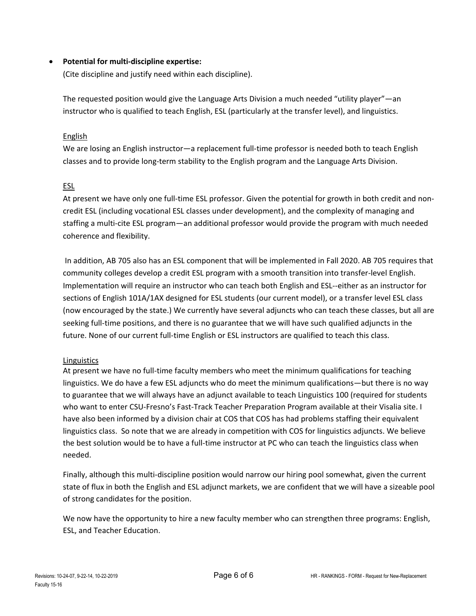## • **Potential for multi-discipline expertise:**

(Cite discipline and justify need within each discipline).

The requested position would give the Language Arts Division a much needed "utility player"—an instructor who is qualified to teach English, ESL (particularly at the transfer level), and linguistics.

#### English

We are losing an English instructor—a replacement full-time professor is needed both to teach English classes and to provide long-term stability to the English program and the Language Arts Division.

### ESL

At present we have only one full-time ESL professor. Given the potential for growth in both credit and noncredit ESL (including vocational ESL classes under development), and the complexity of managing and staffing a multi-cite ESL program—an additional professor would provide the program with much needed coherence and flexibility.

In addition, AB 705 also has an ESL component that will be implemented in Fall 2020. AB 705 requires that community colleges develop a credit ESL program with a smooth transition into transfer-level English. Implementation will require an instructor who can teach both English and ESL--either as an instructor for sections of English 101A/1AX designed for ESL students (our current model), or a transfer level ESL class (now encouraged by the state.) We currently have several adjuncts who can teach these classes, but all are seeking full-time positions, and there is no guarantee that we will have such qualified adjuncts in the future. None of our current full-time English or ESL instructors are qualified to teach this class.

# Linguistics

At present we have no full-time faculty members who meet the minimum qualifications for teaching linguistics. We do have a few ESL adjuncts who do meet the minimum qualifications—but there is no way to guarantee that we will always have an adjunct available to teach Linguistics 100 (required for students who want to enter CSU-Fresno's Fast-Track Teacher Preparation Program available at their Visalia site. I have also been informed by a division chair at COS that COS has had problems staffing their equivalent linguistics class. So note that we are already in competition with COS for linguistics adjuncts. We believe the best solution would be to have a full-time instructor at PC who can teach the linguistics class when needed.

Finally, although this multi-discipline position would narrow our hiring pool somewhat, given the current state of flux in both the English and ESL adjunct markets, we are confident that we will have a sizeable pool of strong candidates for the position.

We now have the opportunity to hire a new faculty member who can strengthen three programs: English, ESL, and Teacher Education.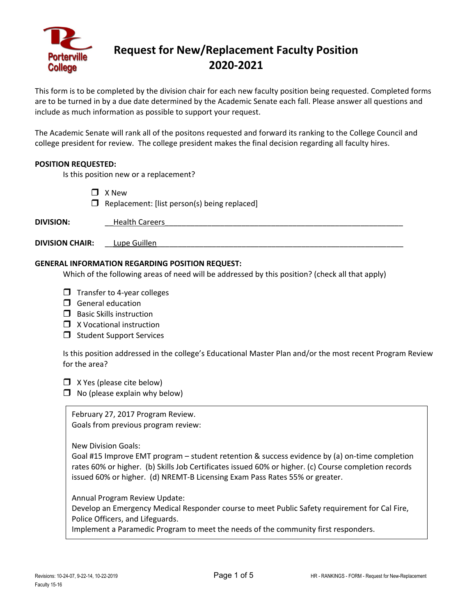

# **Request for New/Replacement Faculty Position 2020-2021**

This form is to be completed by the division chair for each new faculty position being requested. Completed forms are to be turned in by a due date determined by the Academic Senate each fall. Please answer all questions and include as much information as possible to support your request.

The Academic Senate will rank all of the positons requested and forward its ranking to the College Council and college president for review. The college president makes the final decision regarding all faculty hires.

#### **POSITION REQUESTED:**

Is this position new or a replacement?

 $\Box$  X New

 $\Box$  Replacement: [list person(s) being replaced]

| <b>DIVISION:</b>       | <b>Health Careers</b> |
|------------------------|-----------------------|
|                        |                       |
| <b>DIVISION CHAIR:</b> | Lupe Guillen          |

#### **GENERAL INFORMATION REGARDING POSITION REQUEST:**

Which of the following areas of need will be addressed by this position? (check all that apply)

- $\Box$  Transfer to 4-year colleges
- $\Box$  General education
- $\Box$  Basic Skills instruction
- $\Box$  X Vocational instruction
- $\Box$  Student Support Services

Is this position addressed in the college's Educational Master Plan and/or the most recent Program Review for the area?

 $\Box$  X Yes (please cite below)

 $\Box$  No (please explain why below)

February 27, 2017 Program Review. Goals from previous program review:

New Division Goals:

Goal #15 Improve EMT program – student retention & success evidence by (a) on-time completion rates 60% or higher. (b) Skills Job Certificates issued 60% or higher. (c) Course completion records issued 60% or higher. (d) NREMT-B Licensing Exam Pass Rates 55% or greater.

Annual Program Review Update:

Develop an Emergency Medical Responder course to meet Public Safety requirement for Cal Fire, Police Officers, and Lifeguards.

Implement a Paramedic Program to meet the needs of the community first responders.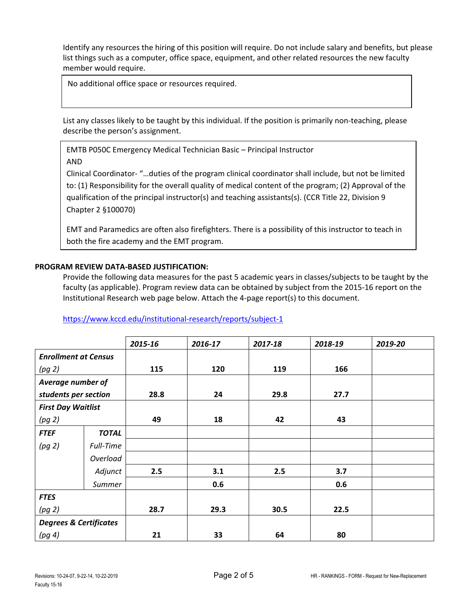No additional office space or resources required.

List any classes likely to be taught by this individual. If the position is primarily non-teaching, please describe the person's assignment.

EMTB P050C Emergency Medical Technician Basic – Principal Instructor

AND

Clinical Coordinator- "…duties of the program clinical coordinator shall include, but not be limited to: (1) Responsibility for the overall quality of medical content of the program; (2) Approval of the qualification of the principal instructor(s) and teaching assistants(s). (CCR Title 22, Division 9 Chapter 2 §100070)

EMT and Paramedics are often also firefighters. There is a possibility of this instructor to teach in both the fire academy and the EMT program.

# **PROGRAM REVIEW DATA-BASED JUSTIFICATION:**

Provide the following data measures for the past 5 academic years in classes/subjects to be taught by the faculty (as applicable). Program review data can be obtained by subject from the 2015-16 report on the Institutional Research web page below. Attach the 4-page report(s) to this document.

# <https://www.kccd.edu/institutional-research/reports/subject-1>

|                                   |              | 2015-16 | 2016-17 | 2017-18 | 2018-19 | 2019-20 |
|-----------------------------------|--------------|---------|---------|---------|---------|---------|
| <b>Enrollment at Census</b>       |              |         |         |         |         |         |
| (pg 2)                            |              | 115     | 120     | 119     | 166     |         |
| Average number of                 |              |         |         |         |         |         |
| students per section              |              | 28.8    | 24      | 29.8    | 27.7    |         |
| <b>First Day Waitlist</b>         |              |         |         |         |         |         |
| (pg 2)                            |              | 49      | 18      | 42      | 43      |         |
| <b>FTEF</b>                       | <b>TOTAL</b> |         |         |         |         |         |
| (pg 2)                            | Full-Time    |         |         |         |         |         |
|                                   | Overload     |         |         |         |         |         |
|                                   | Adjunct      | 2.5     | 3.1     | 2.5     | 3.7     |         |
|                                   | Summer       |         | 0.6     |         | 0.6     |         |
| <b>FTES</b>                       |              |         |         |         |         |         |
| (pg 2)                            |              | 28.7    | 29.3    | 30.5    | 22.5    |         |
| <b>Degrees &amp; Certificates</b> |              |         |         |         |         |         |
| (pg 4)                            |              | 21      | 33      | 64      | 80      |         |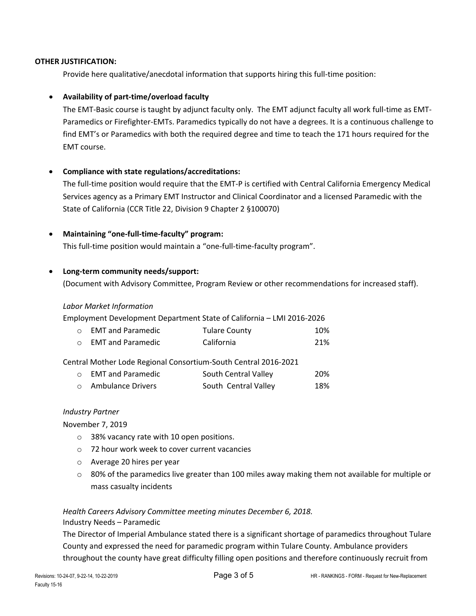Provide here qualitative/anecdotal information that supports hiring this full-time position:

### • **Availability of part-time/overload faculty**

The EMT-Basic course is taught by adjunct faculty only. The EMT adjunct faculty all work full-time as EMT-Paramedics or Firefighter-EMTs. Paramedics typically do not have a degrees. It is a continuous challenge to find EMT's or Paramedics with both the required degree and time to teach the 171 hours required for the EMT course.

### • **Compliance with state regulations/accreditations:**

The full-time position would require that the EMT-P is certified with Central California Emergency Medical Services agency as a Primary EMT Instructor and Clinical Coordinator and a licensed Paramedic with the State of California (CCR Title 22, Division 9 Chapter 2 §100070)

#### • **Maintaining "one-full-time-faculty" program:**

This full-time position would maintain a "one-full-time-faculty program".

#### • **Long-term community needs/support:**

(Document with Advisory Committee, Program Review or other recommendations for increased staff).

#### *Labor Market Information*

Employment Development Department State of California – LMI 2016-2026

|         | <b>O</b> EMT and Paramedic | <b>Tulare County</b> | 10% |
|---------|----------------------------|----------------------|-----|
| $\circ$ | <b>EMT and Paramedic</b>   | California           | 21% |

Central Mother Lode Regional Consortium-South Central 2016-2021

| <b>O</b> EMT and Paramedic | South Central Valley | -20% |
|----------------------------|----------------------|------|
| <b>O</b> Ambulance Drivers | South Central Valley | 18%  |

#### *Industry Partner*

November 7, 2019

- o 38% vacancy rate with 10 open positions.
- o 72 hour work week to cover current vacancies
- o Average 20 hires per year
- o 80% of the paramedics live greater than 100 miles away making them not available for multiple or mass casualty incidents

*Health Careers Advisory Committee meeting minutes December 6, 2018.*  Industry Needs – Paramedic

The Director of Imperial Ambulance stated there is a significant shortage of paramedics throughout Tulare County and expressed the need for paramedic program within Tulare County. Ambulance providers throughout the county have great difficulty filling open positions and therefore continuously recruit from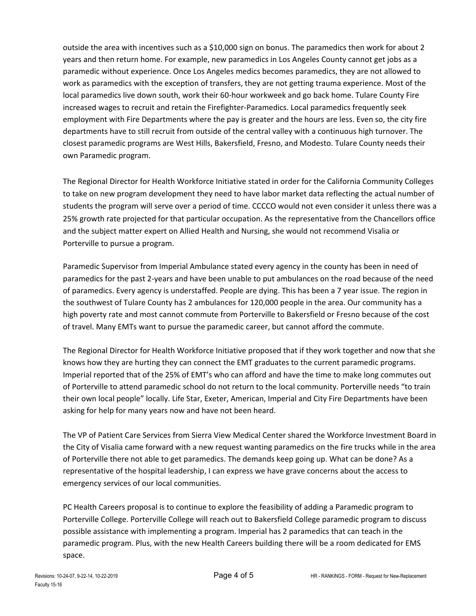outside the area with incentives such as a \$10,000 sign on bonus. The paramedics then work for about 2 years and then return home. For example, new paramedics in Los Angeles County cannot get jobs as a paramedic without experience. Once Los Angeles medics becomes paramedics, they are not allowed to work as paramedics with the exception of transfers, they are not getting trauma experience. Most of the local paramedics live down south, work their 60-hour workweek and go back home. Tulare County Fire increased wages to recruit and retain the Firefighter-Paramedics. Local paramedics frequently seek employment with Fire Departments where the pay is greater and the hours are less. Even so, the city fire departments have to still recruit from outside of the central valley with a continuous high turnover. The closest paramedic programs are West Hills, Bakersfield, Fresno, and Modesto. Tulare County needs their own Paramedic program.

The Regional Director for Health Workforce Initiative stated in order for the California Community Colleges to take on new program development they need to have labor market data reflecting the actual number of students the program will serve over a period of time. CCCCO would not even consider it unless there was a 25% growth rate projected for that particular occupation. As the representative from the Chancellors office and the subject matter expert on Allied Health and Nursing, she would not recommend Visalia or Porterville to pursue a program.

Paramedic Supervisor from Imperial Ambulance stated every agency in the county has been in need of paramedics for the past 2-years and have been unable to put ambulances on the road because of the need of paramedics. Every agency is understaffed. People are dying. This has been a 7 year issue. The region in the southwest of Tulare County has 2 ambulances for 120,000 people in the area. Our community has a high poverty rate and most cannot commute from Porterville to Bakersfield or Fresno because of the cost of travel. Many EMTs want to pursue the paramedic career, but cannot afford the commute.

The Regional Director for Health Workforce Initiative proposed that if they work together and now that she knows how they are hurting they can connect the EMT graduates to the current paramedic programs. Imperial reported that of the 25% of EMT's who can afford and have the time to make long commutes out of Porterville to attend paramedic school do not return to the local community. Porterville needs "to train their own local people" locally. Life Star, Exeter, American, Imperial and City Fire Departments have been asking for help for many years now and have not been heard.

The VP of Patient Care Services from Sierra View Medical Center shared the Workforce Investment Board in the City of Visalia came forward with a new request wanting paramedics on the fire trucks while in the area of Porterville there not able to get paramedics. The demands keep going up. What can be done? As a representative of the hospital leadership, I can express we have grave concerns about the access to emergency services of our local communities.

PC Health Careers proposal is to continue to explore the feasibility of adding a Paramedic program to Porterville College. Porterville College will reach out to Bakersfield College paramedic program to discuss possible assistance with implementing a program. Imperial has 2 paramedics that can teach in the paramedic program. Plus, with the new Health Careers building there will be a room dedicated for EMS space.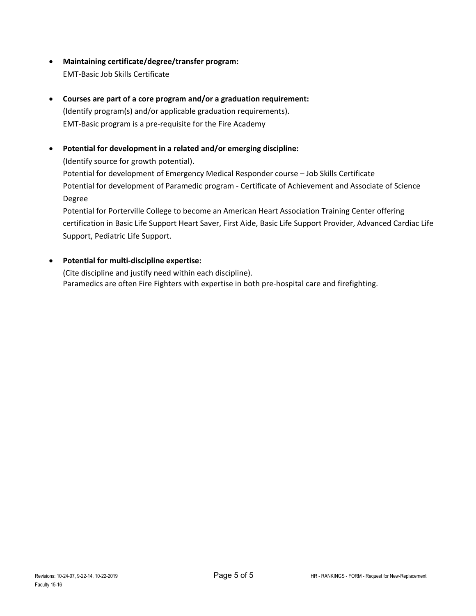- **Maintaining certificate/degree/transfer program:** EMT-Basic Job Skills Certificate
- **Courses are part of a core program and/or a graduation requirement:** (Identify program(s) and/or applicable graduation requirements). EMT-Basic program is a pre-requisite for the Fire Academy
- **Potential for development in a related and/or emerging discipline:** (Identify source for growth potential). Potential for development of Emergency Medical Responder course – Job Skills Certificate Potential for development of Paramedic program - Certificate of Achievement and Associate of Science

Degree

Potential for Porterville College to become an American Heart Association Training Center offering certification in Basic Life Support Heart Saver, First Aide, Basic Life Support Provider, Advanced Cardiac Life Support, Pediatric Life Support.

# • **Potential for multi-discipline expertise:**

(Cite discipline and justify need within each discipline). Paramedics are often Fire Fighters with expertise in both pre-hospital care and firefighting.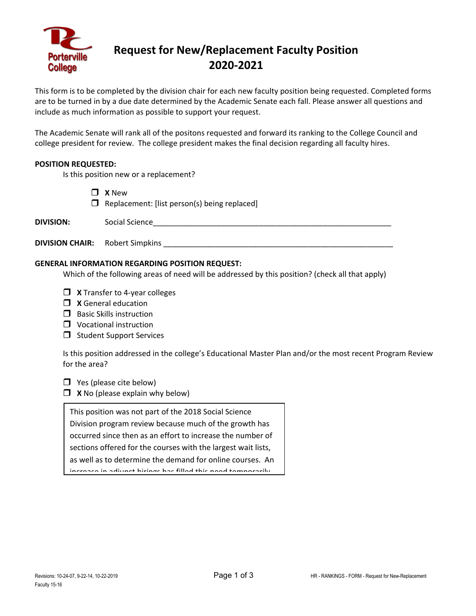

# **Request for New/Replacement Faculty Position 2020-2021**

This form is to be completed by the division chair for each new faculty position being requested. Completed forms are to be turned in by a due date determined by the Academic Senate each fall. Please answer all questions and include as much information as possible to support your request.

The Academic Senate will rank all of the positons requested and forward its ranking to the College Council and college president for review. The college president makes the final decision regarding all faculty hires.

#### **POSITION REQUESTED:**

Is this position new or a replacement?

**X** New

 $\Box$  Replacement: [list person(s) being replaced]

| <b>DIVISION:</b> | Social Science |  |
|------------------|----------------|--|
|                  |                |  |

## **GENERAL INFORMATION REGARDING POSITION REQUEST:**

Which of the following areas of need will be addressed by this position? (check all that apply)

- **X** Transfer to 4-year colleges
- **X** General education

**DIVISION CHAIR:** Robert Simpkins \_\_\_\_\_\_\_\_\_\_\_\_\_\_\_\_\_\_\_\_\_\_\_\_\_\_\_\_\_\_\_\_\_\_\_\_\_\_\_\_\_\_\_\_\_\_\_\_\_\_\_\_\_\_

- $\Box$  Basic Skills instruction
- **U** Vocational instruction
- $\Box$  Student Support Services

Is this position addressed in the college's Educational Master Plan and/or the most recent Program Review for the area?

 $\Box$  Yes (please cite below)

**X** No (please explain why below)

This position was not part of the 2018 Social Science

Division program review because much of the growth has

occurred since then as an effort to increase the number of

sections offered for the courses with the largest wait lists,

as well as to determine the demand for online courses. An increase ain adjunct hirings has filled this need temporarily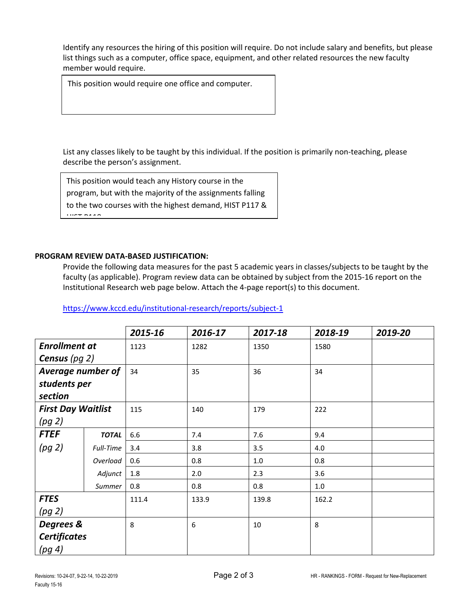This position would require one office and computer.

List any classes likely to be taught by this individual. If the position is primarily non-teaching, please describe the person's assignment.

This position would teach any History course in the program, but with the majority of the assignments falling to the two courses with the highest demand, HIST P117 &  $H = 118$ 

### **PROGRAM REVIEW DATA-BASED JUSTIFICATION:**

Provide the following data measures for the past 5 academic years in classes/subjects to be taught by the faculty (as applicable). Program review data can be obtained by subject from the 2015-16 report on the Institutional Research web page below. Attach the 4-page report(s) to this document.

|                           |              | 2015-16 | 2016-17 | 2017-18 | 2018-19 | 2019-20 |
|---------------------------|--------------|---------|---------|---------|---------|---------|
| <b>Enrollment at</b>      |              | 1123    | 1282    | 1350    | 1580    |         |
| Census ( $pg$ 2)          |              |         |         |         |         |         |
| Average number of         |              | 34      | 35      | 36      | 34      |         |
| students per              |              |         |         |         |         |         |
| section                   |              |         |         |         |         |         |
| <b>First Day Waitlist</b> |              | 115     | 140     | 179     | 222     |         |
| (pg 2)                    |              |         |         |         |         |         |
| <b>FTEF</b>               | <b>TOTAL</b> | 6.6     | 7.4     | 7.6     | 9.4     |         |
| (pg 2)                    | Full-Time    | 3.4     | 3.8     | 3.5     | 4.0     |         |
|                           | Overload     | 0.6     | 0.8     | 1.0     | 0.8     |         |
|                           | Adjunct      | 1.8     | 2.0     | 2.3     | 3.6     |         |
|                           | Summer       | 0.8     | 0.8     | 0.8     | $1.0\,$ |         |
| <b>FTES</b>               |              | 111.4   | 133.9   | 139.8   | 162.2   |         |
| (pg 2)                    |              |         |         |         |         |         |
| Degrees &                 |              | 8       | 6       | 10      | 8       |         |
| <b>Certificates</b>       |              |         |         |         |         |         |
| (pg 4)                    |              |         |         |         |         |         |

<https://www.kccd.edu/institutional-research/reports/subject-1>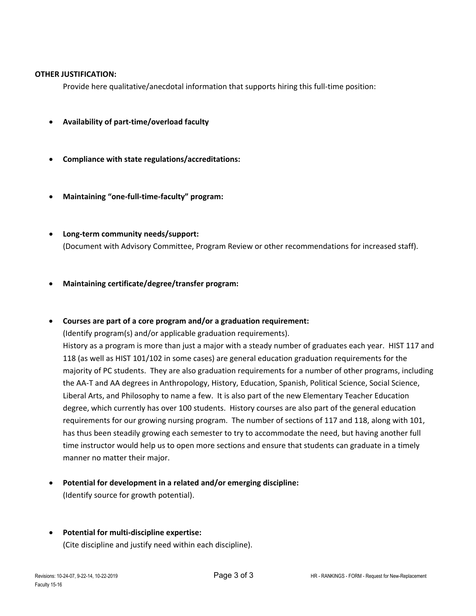Provide here qualitative/anecdotal information that supports hiring this full-time position:

- **Availability of part-time/overload faculty**
- **Compliance with state regulations/accreditations:**
- **Maintaining "one-full-time-faculty" program:**
- **Long-term community needs/support:** (Document with Advisory Committee, Program Review or other recommendations for increased staff).
- **Maintaining certificate/degree/transfer program:**
- **Courses are part of a core program and/or a graduation requirement:**

(Identify program(s) and/or applicable graduation requirements).

History as a program is more than just a major with a steady number of graduates each year. HIST 117 and 118 (as well as HIST 101/102 in some cases) are general education graduation requirements for the majority of PC students. They are also graduation requirements for a number of other programs, including the AA-T and AA degrees in Anthropology, History, Education, Spanish, Political Science, Social Science, Liberal Arts, and Philosophy to name a few. It is also part of the new Elementary Teacher Education degree, which currently has over 100 students. History courses are also part of the general education requirements for our growing nursing program. The number of sections of 117 and 118, along with 101, has thus been steadily growing each semester to try to accommodate the need, but having another full time instructor would help us to open more sections and ensure that students can graduate in a timely manner no matter their major.

- **Potential for development in a related and/or emerging discipline:** (Identify source for growth potential).
- **Potential for multi-discipline expertise:**

(Cite discipline and justify need within each discipline).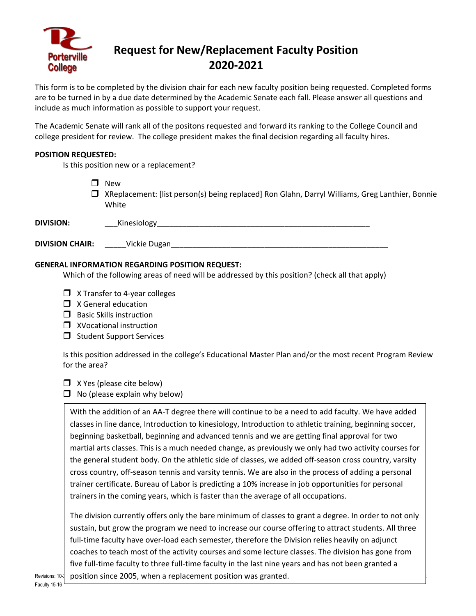

# **Request for New/Replacement Faculty Position 2020-2021**

This form is to be completed by the division chair for each new faculty position being requested. Completed forms are to be turned in by a due date determined by the Academic Senate each fall. Please answer all questions and include as much information as possible to support your request.

The Academic Senate will rank all of the positons requested and forward its ranking to the College Council and college president for review. The college president makes the final decision regarding all faculty hires.

### **POSITION REQUESTED:**

Is this position new or a replacement?

- **New**
- XReplacement: [list person(s) being replaced] Ron Glahn, Darryl Williams, Greg Lanthier, Bonnie White

| <b>DIVISION:</b> | SININAV |  |
|------------------|---------|--|
|                  |         |  |

| <b>DIVISION CHAIR:</b> | Vickie Dugan |  |
|------------------------|--------------|--|
|------------------------|--------------|--|

### **GENERAL INFORMATION REGARDING POSITION REQUEST:**

Which of the following areas of need will be addressed by this position? (check all that apply)

- $\Box$  X Transfer to 4-year colleges
- $\Box$  X General education
- $\Box$  Basic Skills instruction
- **N** XVocational instruction
- $\Box$  Student Support Services

Is this position addressed in the college's Educational Master Plan and/or the most recent Program Review for the area?

- $\Box$  X Yes (please cite below)
- $\Box$  No (please explain why below)

With the addition of an AA-T degree there will continue to be a need to add faculty. We have added classes in line dance, Introduction to kinesiology, Introduction to athletic training, beginning soccer, beginning basketball, beginning and advanced tennis and we are getting final approval for two martial arts classes. This is a much needed change, as previously we only had two activity courses for the general student body. On the athletic side of classes, we added off-season cross country, varsity cross country, off-season tennis and varsity tennis. We are also in the process of adding a personal trainer certificate. Bureau of Labor is predicting a 10% increase in job opportunities for personal trainers in the coming years, which is faster than the average of all occupations.

Revisions: 10- $\downarrow$  position since 2005, when a replacement position was granted. The division currently offers only the bare minimum of classes to grant a degree. In order to not only sustain, but grow the program we need to increase our course offering to attract students. All three full-time faculty have over-load each semester, therefore the Division relies heavily on adjunct coaches to teach most of the activity courses and some lecture classes. The division has gone from five full-time faculty to three full-time faculty in the last nine years and has not been granted a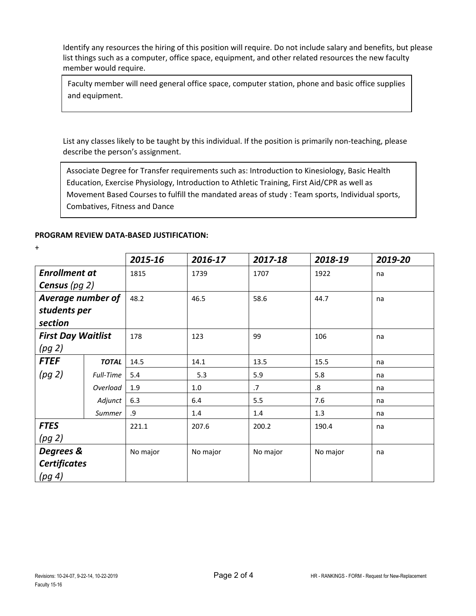Faculty member will need general office space, computer station, phone and basic office supplies and equipment.

List any classes likely to be taught by this individual. If the position is primarily non-teaching, please describe the person's assignment.

Associate Degree for Transfer requirements such as: Introduction to Kinesiology, Basic Health Education, Exercise Physiology, Introduction to Athletic Training, First Aid/CPR as well as Movement Based Courses to fulfill the mandated areas of study : Team sports, Individual sports, Combatives, Fitness and Dance

#### **PROGRAM REVIEW DATA-BASED JUSTIFICATION:**

+

|                           |              | 2015-16  | 2016-17  | 2017-18  | 2018-19  | 2019-20 |
|---------------------------|--------------|----------|----------|----------|----------|---------|
| <b>Enrollment at</b>      |              | 1815     | 1739     | 1707     | 1922     | na      |
| <b>Census</b> (pg $2$ )   |              |          |          |          |          |         |
| <b>Average number of</b>  |              | 48.2     | 46.5     | 58.6     | 44.7     | na      |
| students per              |              |          |          |          |          |         |
| section                   |              |          |          |          |          |         |
| <b>First Day Waitlist</b> |              | 178      | 123      | 99       | 106      | na      |
| (pg 2)                    |              |          |          |          |          |         |
| <b>FTEF</b>               | <b>TOTAL</b> | 14.5     | 14.1     | 13.5     | 15.5     | na      |
| (pq 2)                    | Full-Time    | 5.4      | 5.3      | 5.9      | 5.8      | na      |
|                           | Overload     | 1.9      | 1.0      | .7       | .8       | na      |
|                           | Adjunct      | 6.3      | 6.4      | 5.5      | 7.6      | na      |
|                           | Summer       | .9       | 1.4      | 1.4      | 1.3      | na      |
| <b>FTES</b>               |              | 221.1    | 207.6    | 200.2    | 190.4    | na      |
| (pg 2)                    |              |          |          |          |          |         |
| Degrees &                 |              | No major | No major | No major | No major | na      |
| <b>Certificates</b>       |              |          |          |          |          |         |
| (pg 4)                    |              |          |          |          |          |         |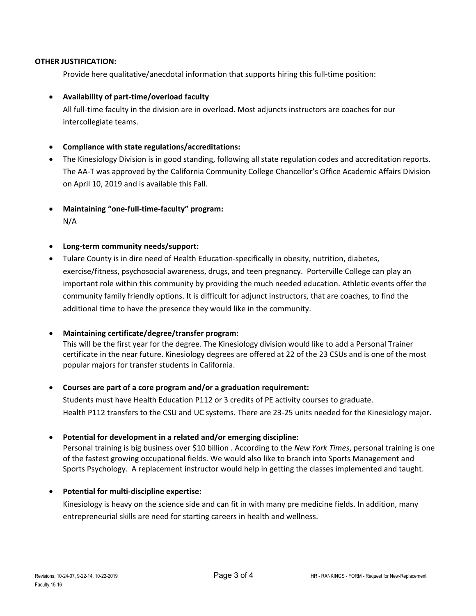Provide here qualitative/anecdotal information that supports hiring this full-time position:

## • **Availability of part-time/overload faculty**

All full-time faculty in the division are in overload. Most adjuncts instructors are coaches for our intercollegiate teams.

#### • **Compliance with state regulations/accreditations:**

- The Kinesiology Division is in good standing, following all state regulation codes and accreditation reports. The AA-T was approved by the California Community College Chancellor's Office Academic Affairs Division on April 10, 2019 and is available this Fall.
- **Maintaining "one-full-time-faculty" program:** N/A
- **Long-term community needs/support:**
- Tulare County is in dire need of Health Education-specifically in obesity, nutrition, diabetes, exercise/fitness, psychosocial awareness, drugs, and teen pregnancy. Porterville College can play an important role within this community by providing the much needed education. Athletic events offer the community family friendly options. It is difficult for adjunct instructors, that are coaches, to find the additional time to have the presence they would like in the community.

#### • **Maintaining certificate/degree/transfer program:**

This will be the first year for the degree. The Kinesiology division would like to add a Personal Trainer certificate in the near future. Kinesiology degrees are offered at 22 of the 23 CSUs and is one of the most popular majors for transfer students in California.

#### • **Courses are part of a core program and/or a graduation requirement:**

Students must have Health Education P112 or 3 credits of PE activity courses to graduate. Health P112 transfers to the CSU and UC systems. There are 23-25 units needed for the Kinesiology major.

#### • **Potential for development in a related and/or emerging discipline:**

Personal training is big business over \$10 billion . According to the *New York Times*, personal training is one of the fastest growing occupational fields. We would also like to branch into Sports Management and Sports Psychology. A replacement instructor would help in getting the classes implemented and taught.

#### • **Potential for multi-discipline expertise:**

Kinesiology is heavy on the science side and can fit in with many pre medicine fields. In addition, many entrepreneurial skills are need for starting careers in health and wellness.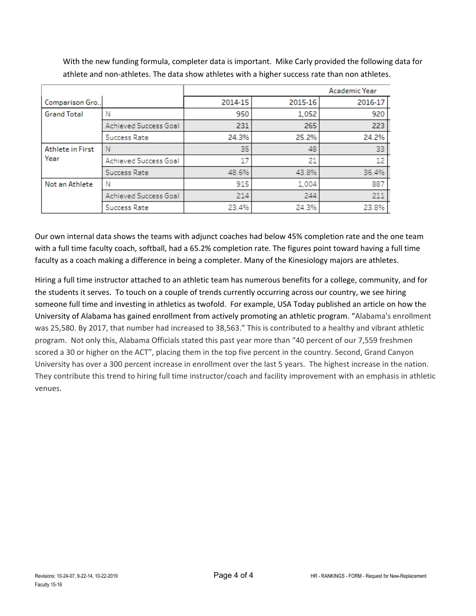|                    |                       |         |         | Academic Year |
|--------------------|-----------------------|---------|---------|---------------|
| Comparison Gro     |                       | 2014-15 | 2015-16 | 2016-17       |
| <b>Grand Total</b> | N                     | 950     | 1,052   | 920           |
|                    | Achieved Success Goal | 231     | 265     | 223           |
|                    | Success Rate          | 24.3%   | 25.2%   | 24.2%         |
| Athlete in First   | N                     | 35      | 48      | 33            |
| Year               | Achieved Success Goal | 17      | 21      | 12            |
|                    | Success Rate          | 48.6%   | 43.8%   | 36.4%         |
| Not an Athlete     | Ν                     | 915     | 1,004   | 887           |
|                    | Achieved Success Goal | 214     | 244     | 211           |
|                    | Success Rate          | 23.4%   | 24.3%   | 23.8%         |

With the new funding formula, completer data is important. Mike Carly provided the following data for athlete and non-athletes. The data show athletes with a higher success rate than non athletes.

Our own internal data shows the teams with adjunct coaches had below 45% completion rate and the one team with a full time faculty coach, softball, had a 65.2% completion rate. The figures point toward having a full time faculty as a coach making a difference in being a completer. Many of the Kinesiology majors are athletes.

Hiring a full time instructor attached to an athletic team has numerous benefits for a college, community, and for the students it serves. To touch on a couple of trends currently occurring across our country, we see hiring someone full time and investing in athletics as twofold. For example, USA Today published an article on how the University of Alabama has gained enrollment from actively promoting an athletic program. "Alabama's enrollment was 25,580. By 2017, that number had increased to 38,563." This is contributed to a healthy and vibrant athletic program. Not only this, Alabama Officials stated this past year more than "40 percent of our 7,559 freshmen scored a 30 or higher on the ACT", placing them in the top five percent in the country. Second, Grand Canyon University has over a 300 percent increase in enrollment over the last 5 years. The highest increase in the nation. They contribute this trend to hiring full time instructor/coach and facility improvement with an emphasis in athletic venues.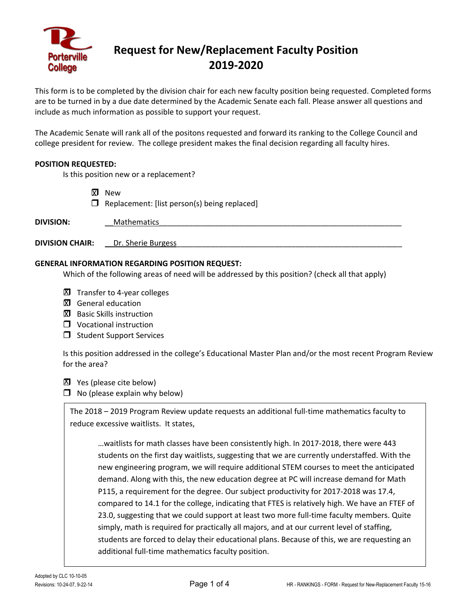

# **Request for New/Replacement Faculty Position 2019-2020**

This form is to be completed by the division chair for each new faculty position being requested. Completed forms are to be turned in by a due date determined by the Academic Senate each fall. Please answer all questions and include as much information as possible to support your request.

The Academic Senate will rank all of the positons requested and forward its ranking to the College Council and college president for review. The college president makes the final decision regarding all faculty hires.

#### **POSITION REQUESTED:**

Is this position new or a replacement?

**XI** New  $\Box$  Replacement: [list person(s) being replaced]

| <b>DIVISION:</b>       | <b>Mathematics</b> |
|------------------------|--------------------|
|                        |                    |
| <b>DIVISION CHAIR:</b> | Dr. Sherie Burgess |

#### **GENERAL INFORMATION REGARDING POSITION REQUEST:**

Which of the following areas of need will be addressed by this position? (check all that apply)

- XI Transfer to 4-year colleges
- **XI** General education
- **X** Basic Skills instruction
- **U** Vocational instruction
- $\Box$  Student Support Services

Is this position addressed in the college's Educational Master Plan and/or the most recent Program Review for the area?

**X** Yes (please cite below)

 $\Box$  No (please explain why below)

The 2018 – 2019 Program Review update requests an additional full-time mathematics faculty to reduce excessive waitlists. It states,

…waitlists for math classes have been consistently high. In 2017-2018, there were 443 students on the first day waitlists, suggesting that we are currently understaffed. With the new engineering program, we will require additional STEM courses to meet the anticipated demand. Along with this, the new education degree at PC will increase demand for Math P115, a requirement for the degree. Our subject productivity for 2017-2018 was 17.4, compared to 14.1 for the college, indicating that FTES is relatively high. We have an FTEF of 23.0, suggesting that we could support at least two more full-time faculty members. Quite simply, math is required for practically all majors, and at our current level of staffing, students are forced to delay their educational plans. Because of this, we are requesting an additional full-time mathematics faculty position.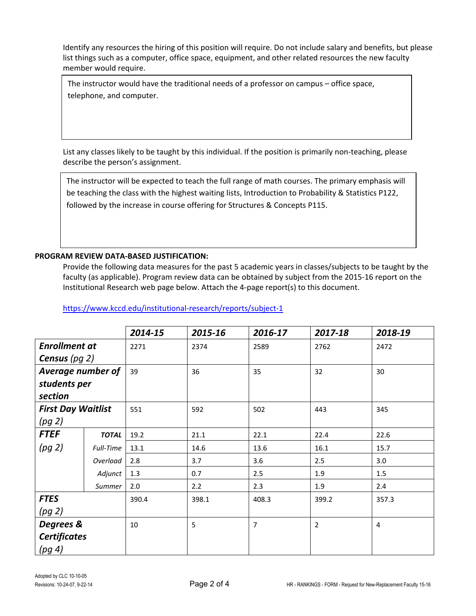The instructor would have the traditional needs of a professor on campus – office space, telephone, and computer.

List any classes likely to be taught by this individual. If the position is primarily non-teaching, please describe the person's assignment.

The instructor will be expected to teach the full range of math courses. The primary emphasis will be teaching the class with the highest waiting lists, Introduction to Probability & Statistics P122, followed by the increase in course offering for Structures & Concepts P115.

### **PROGRAM REVIEW DATA-BASED JUSTIFICATION:**

Provide the following data measures for the past 5 academic years in classes/subjects to be taught by the faculty (as applicable). Program review data can be obtained by subject from the 2015-16 report on the Institutional Research web page below. Attach the 4-page report(s) to this document.

|                           |              | 2014-15 | 2015-16 | 2016-17        | 2017-18        | 2018-19 |
|---------------------------|--------------|---------|---------|----------------|----------------|---------|
| <b>Enrollment at</b>      |              | 2271    | 2374    | 2589           | 2762           | 2472    |
| <b>Census</b> (pg $2$ )   |              |         |         |                |                |         |
| Average number of         |              | 39      | 36      | 35             | 32             | 30      |
| students per              |              |         |         |                |                |         |
| section                   |              |         |         |                |                |         |
| <b>First Day Waitlist</b> |              | 551     | 592     | 502            | 443            | 345     |
| (pg 2)                    |              |         |         |                |                |         |
| <b>FTEF</b>               | <b>TOTAL</b> | 19.2    | 21.1    | 22.1           | 22.4           | 22.6    |
| (pg 2)                    | Full-Time    | 13.1    | 14.6    | 13.6           | 16.1           | 15.7    |
|                           | Overload     | 2.8     | 3.7     | 3.6            | 2.5            | 3.0     |
|                           | Adjunct      | 1.3     | 0.7     | 2.5            | 1.9            | 1.5     |
|                           | Summer       | 2.0     | 2.2     | 2.3            | 1.9            | 2.4     |
| <b>FTES</b>               |              | 390.4   | 398.1   | 408.3          | 399.2          | 357.3   |
| (pg 2)                    |              |         |         |                |                |         |
| Degrees &                 |              | 10      | 5       | $\overline{7}$ | $\overline{2}$ | 4       |
| <b>Certificates</b>       |              |         |         |                |                |         |
| (pg 4)                    |              |         |         |                |                |         |

<https://www.kccd.edu/institutional-research/reports/subject-1>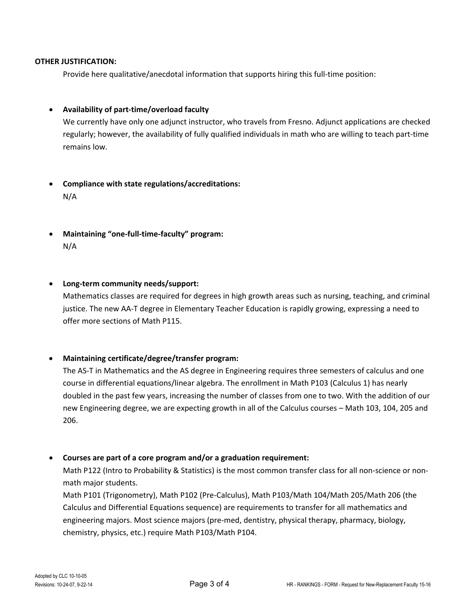Provide here qualitative/anecdotal information that supports hiring this full-time position:

### • **Availability of part-time/overload faculty**

We currently have only one adjunct instructor, who travels from Fresno. Adjunct applications are checked regularly; however, the availability of fully qualified individuals in math who are willing to teach part-time remains low.

# • **Compliance with state regulations/accreditations:** N/A

• **Maintaining "one-full-time-faculty" program:** N/A

#### • **Long-term community needs/support:**

Mathematics classes are required for degrees in high growth areas such as nursing, teaching, and criminal justice. The new AA-T degree in Elementary Teacher Education is rapidly growing, expressing a need to offer more sections of Math P115.

#### • **Maintaining certificate/degree/transfer program:**

The AS-T in Mathematics and the AS degree in Engineering requires three semesters of calculus and one course in differential equations/linear algebra. The enrollment in Math P103 (Calculus 1) has nearly doubled in the past few years, increasing the number of classes from one to two. With the addition of our new Engineering degree, we are expecting growth in all of the Calculus courses – Math 103, 104, 205 and 206.

#### • **Courses are part of a core program and/or a graduation requirement:**

Math P122 (Intro to Probability & Statistics) is the most common transfer class for all non-science or nonmath major students.

Math P101 (Trigonometry), Math P102 (Pre-Calculus), Math P103/Math 104/Math 205/Math 206 (the Calculus and Differential Equations sequence) are requirements to transfer for all mathematics and engineering majors. Most science majors (pre-med, dentistry, physical therapy, pharmacy, biology, chemistry, physics, etc.) require Math P103/Math P104.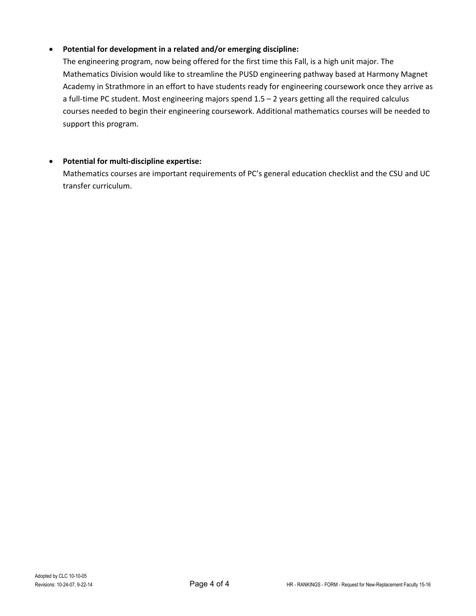# • **Potential for development in a related and/or emerging discipline:**

The engineering program, now being offered for the first time this Fall, is a high unit major. The Mathematics Division would like to streamline the PUSD engineering pathway based at Harmony Magnet Academy in Strathmore in an effort to have students ready for engineering coursework once they arrive as a full-time PC student. Most engineering majors spend 1.5 – 2 years getting all the required calculus courses needed to begin their engineering coursework. Additional mathematics courses will be needed to support this program.

# • **Potential for multi-discipline expertise:**

Mathematics courses are important requirements of PC's general education checklist and the CSU and UC transfer curriculum.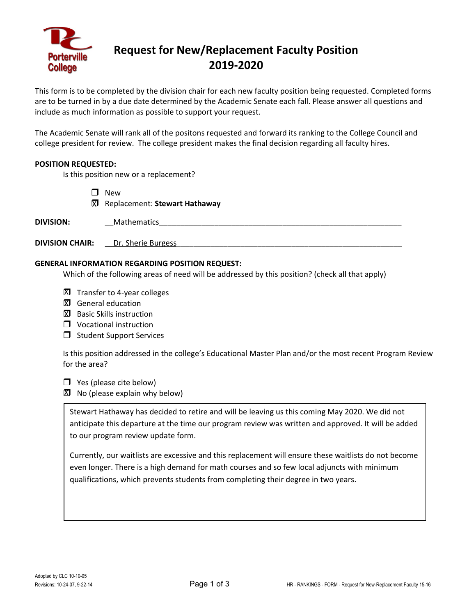

# **Request for New/Replacement Faculty Position 2019-2020**

This form is to be completed by the division chair for each new faculty position being requested. Completed forms are to be turned in by a due date determined by the Academic Senate each fall. Please answer all questions and include as much information as possible to support your request.

The Academic Senate will rank all of the positons requested and forward its ranking to the College Council and college president for review. The college president makes the final decision regarding all faculty hires.

#### **POSITION REQUESTED:**

Is this position new or a replacement?

**D** New

Replacement: **Stewart Hathaway** X

| <b>DIVISION:</b>       | <b>Mathematics</b> |
|------------------------|--------------------|
| <b>DIVISION CHAIR:</b> | Dr. Sherie Burgess |

#### **GENERAL INFORMATION REGARDING POSITION REQUEST:**

Which of the following areas of need will be addressed by this position? (check all that apply)

- XI Transfer to 4-year colleges
- **XI** General education
- **X** Basic Skills instruction
- **U** Vocational instruction
- $\Box$  Student Support Services

Is this position addressed in the college's Educational Master Plan and/or the most recent Program Review for the area?

 $\Box$  Yes (please cite below)

 $\boxtimes$  No (please explain why below)

Stewart Hathaway has decided to retire and will be leaving us this coming May 2020. We did not anticipate this departure at the time our program review was written and approved. It will be added to our program review update form.

Currently, our waitlists are excessive and this replacement will ensure these waitlists do not become even longer. There is a high demand for math courses and so few local adjuncts with minimum qualifications, which prevents students from completing their degree in two years.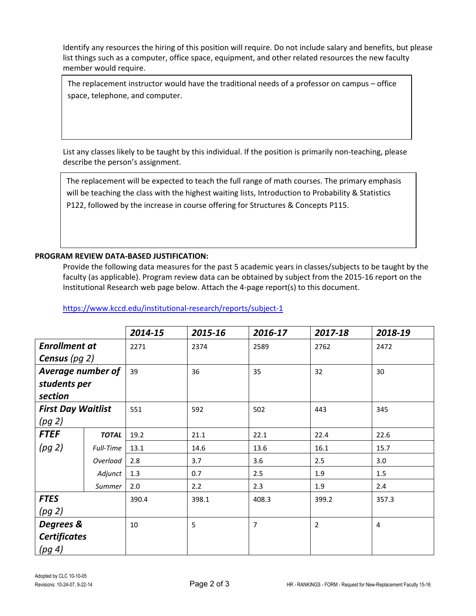The replacement instructor would have the traditional needs of a professor on campus – office space, telephone, and computer.

List any classes likely to be taught by this individual. If the position is primarily non-teaching, please describe the person's assignment.

The replacement will be expected to teach the full range of math courses. The primary emphasis will be teaching the class with the highest waiting lists, Introduction to Probability & Statistics P122, followed by the increase in course offering for Structures & Concepts P115.

# **PROGRAM REVIEW DATA-BASED JUSTIFICATION:**

Provide the following data measures for the past 5 academic years in classes/subjects to be taught by the faculty (as applicable). Program review data can be obtained by subject from the 2015-16 report on the Institutional Research web page below. Attach the 4-page report(s) to this document.

|                           |              | 2014-15 | 2015-16 | 2016-17        | 2017-18        | 2018-19 |
|---------------------------|--------------|---------|---------|----------------|----------------|---------|
| <b>Enrollment at</b>      |              | 2271    | 2374    | 2589           | 2762           | 2472    |
| <b>Census</b> (pg $2$ )   |              |         |         |                |                |         |
| Average number of         |              | 39      | 36      | 35             | 32             | 30      |
| students per              |              |         |         |                |                |         |
| section                   |              |         |         |                |                |         |
| <b>First Day Waitlist</b> |              | 551     | 592     | 502            | 443            | 345     |
| (pg 2)                    |              |         |         |                |                |         |
| <b>FTEF</b>               | <b>TOTAL</b> | 19.2    | 21.1    | 22.1           | 22.4           | 22.6    |
| (pg 2)                    | Full-Time    | 13.1    | 14.6    | 13.6           | 16.1           | 15.7    |
|                           | Overload     | 2.8     | 3.7     | 3.6            | 2.5            | 3.0     |
|                           | Adjunct      | 1.3     | 0.7     | 2.5            | 1.9            | 1.5     |
|                           | Summer       | 2.0     | 2.2     | 2.3            | 1.9            | 2.4     |
| <b>FTES</b>               |              | 390.4   | 398.1   | 408.3          | 399.2          | 357.3   |
| (pg 2)                    |              |         |         |                |                |         |
| Degrees &                 |              | 10      | 5       | $\overline{7}$ | $\overline{2}$ | 4       |
| <b>Certificates</b>       |              |         |         |                |                |         |
| (pg 4)                    |              |         |         |                |                |         |

<https://www.kccd.edu/institutional-research/reports/subject-1>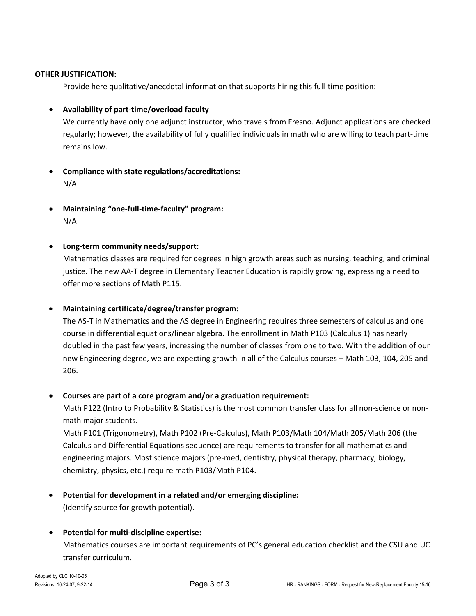Provide here qualitative/anecdotal information that supports hiring this full-time position:

### • **Availability of part-time/overload faculty**

We currently have only one adjunct instructor, who travels from Fresno. Adjunct applications are checked regularly; however, the availability of fully qualified individuals in math who are willing to teach part-time remains low.

- **Compliance with state regulations/accreditations:** N/A
- **Maintaining "one-full-time-faculty" program:** N/A

### • **Long-term community needs/support:**

Mathematics classes are required for degrees in high growth areas such as nursing, teaching, and criminal justice. The new AA-T degree in Elementary Teacher Education is rapidly growing, expressing a need to offer more sections of Math P115.

#### • **Maintaining certificate/degree/transfer program:**

The AS-T in Mathematics and the AS degree in Engineering requires three semesters of calculus and one course in differential equations/linear algebra. The enrollment in Math P103 (Calculus 1) has nearly doubled in the past few years, increasing the number of classes from one to two. With the addition of our new Engineering degree, we are expecting growth in all of the Calculus courses – Math 103, 104, 205 and 206.

#### • **Courses are part of a core program and/or a graduation requirement:**

Math P122 (Intro to Probability & Statistics) is the most common transfer class for all non-science or nonmath major students.

Math P101 (Trigonometry), Math P102 (Pre-Calculus), Math P103/Math 104/Math 205/Math 206 (the Calculus and Differential Equations sequence) are requirements to transfer for all mathematics and engineering majors. Most science majors (pre-med, dentistry, physical therapy, pharmacy, biology, chemistry, physics, etc.) require math P103/Math P104.

• **Potential for development in a related and/or emerging discipline:** (Identify source for growth potential).

# • **Potential for multi-discipline expertise:**

Mathematics courses are important requirements of PC's general education checklist and the CSU and UC transfer curriculum.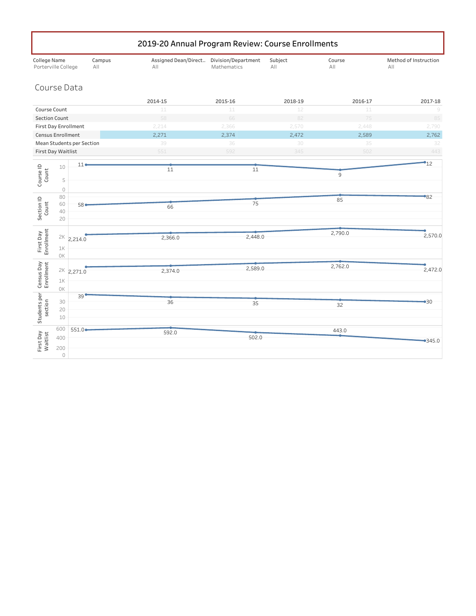|                                     | 2019-20 Annual Program Review: Course Enrollments |                                  |               |                                                 |             |                |               |                              |
|-------------------------------------|---------------------------------------------------|----------------------------------|---------------|-------------------------------------------------|-------------|----------------|---------------|------------------------------|
| College Name<br>Porterville College |                                                   |                                  | Campus<br>All | Assigned Dean/Direct Division/Department<br>All | Mathematics | Subject<br>All | Course<br>All | Method of Instruction<br>AII |
| Course Data                         |                                                   |                                  |               |                                                 |             |                |               |                              |
|                                     |                                                   |                                  |               | 2014-15                                         | 2015-16     | 2018-19        | 2016-17       | 2017-18                      |
| Course Count                        |                                                   |                                  |               | 11                                              | 11          | 12             | 11            | 9                            |
| <b>Section Count</b>                |                                                   |                                  |               | 58                                              | 66          | 82             | 75            | 85                           |
| <b>First Day Enrollment</b>         |                                                   |                                  |               | 2,214                                           | 2,366       | 2,570          | 2,448         | 2,790                        |
| Census Enrollment                   |                                                   |                                  |               | 2,271                                           | 2,374       | 2,472          | 2,589         | 2,762                        |
|                                     |                                                   | <b>Mean Students per Section</b> |               | 39                                              | 36          | 30             | 35            | 32                           |
| <b>First Day Waitlist</b>           |                                                   |                                  |               | 551                                             | 592         | 345            | 502           | 443                          |
|                                     | 10                                                | $11$ $\bullet$                   |               |                                                 |             |                |               | $\bullet$ 12                 |
| Course ID<br>Count                  |                                                   |                                  |               | 11                                              | 11          |                | 9             |                              |
|                                     | 5                                                 |                                  |               |                                                 |             |                |               |                              |
|                                     | $\circ$                                           |                                  |               |                                                 |             |                |               |                              |
|                                     | 80<br>60                                          | $58 -$                           |               |                                                 | 75          |                | 85            | $^{\circ}82$                 |
| Section ID<br>Count                 | 40                                                |                                  |               | 66                                              |             |                |               |                              |
|                                     | 20                                                |                                  |               |                                                 |             |                |               |                              |
|                                     |                                                   |                                  |               |                                                 |             |                |               |                              |
| First Day<br>Enrollment             | 2K                                                | 2,214.0                          |               | 2,366.0                                         | 2,448.0     |                | 2,790.0       | 2,570.0                      |
|                                     | $1\mathrm{K}$                                     |                                  |               |                                                 |             |                |               |                              |
|                                     | OK                                                |                                  |               |                                                 |             |                |               |                              |
| Census Day<br>Enrollment            |                                                   |                                  |               |                                                 | 2,589.0     |                | 2,762.0       |                              |
|                                     |                                                   | $2K - 2,271.0$                   |               | 2,374.0                                         |             |                |               | 2,472.0                      |
|                                     | 1K                                                |                                  |               |                                                 |             |                |               |                              |
|                                     | 0K                                                |                                  |               |                                                 |             |                |               |                              |
|                                     | 30                                                | 39 <sup>o</sup>                  |               | 36                                              | 35          |                |               | •30                          |
| section                             | 20                                                |                                  |               |                                                 |             |                | 32            |                              |
| Students per                        | 10                                                |                                  |               |                                                 |             |                |               |                              |
|                                     | 600                                               | $551.0 -$                        |               |                                                 |             |                | 443.0         |                              |
|                                     | 400                                               |                                  |               | 592.0                                           | 502.0       |                |               |                              |
| First Day<br>Waitlist               | 200                                               |                                  |               |                                                 |             |                |               | $-345.0$                     |
|                                     | $\circlearrowright$                               |                                  |               |                                                 |             |                |               |                              |